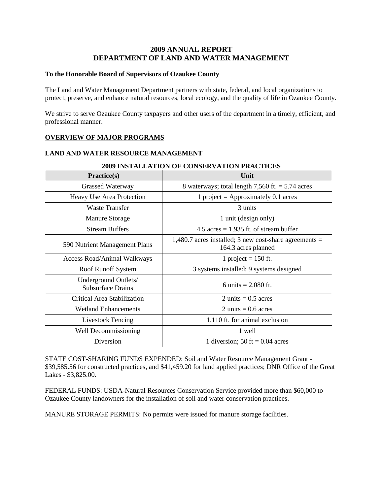# **2009 ANNUAL REPORT DEPARTMENT OF LAND AND WATER MANAGEMENT**

### **To the Honorable Board of Supervisors of Ozaukee County**

The Land and Water Management Department partners with state, federal, and local organizations to protect, preserve, and enhance natural resources, local ecology, and the quality of life in Ozaukee County.

We strive to serve Ozaukee County taxpayers and other users of the department in a timely, efficient, and professional manner.

## **OVERVIEW OF MAJOR PROGRAMS**

## **LAND AND WATER RESOURCE MANAGEMENT**

| Practice(s)                                      | Unit                                                                            |  |
|--------------------------------------------------|---------------------------------------------------------------------------------|--|
| <b>Grassed Waterway</b>                          | 8 waterways; total length $7,560$ ft. = $5.74$ acres                            |  |
| Heavy Use Area Protection                        | 1 project = Approximately 0.1 acres                                             |  |
| Waste Transfer                                   | 3 units                                                                         |  |
| <b>Manure Storage</b>                            | 1 unit (design only)                                                            |  |
| <b>Stream Buffers</b>                            | 4.5 acres = $1,935$ ft. of stream buffer                                        |  |
| 590 Nutrient Management Plans                    | 1,480.7 acres installed; 3 new cost-share agreements $=$<br>164.3 acres planned |  |
| Access Road/Animal Walkways                      | 1 project = $150$ ft.                                                           |  |
| Roof Runoff System                               | 3 systems installed; 9 systems designed                                         |  |
| Underground Outlets/<br><b>Subsurface Drains</b> | 6 units = $2,080$ ft.                                                           |  |
| Critical Area Stabilization                      | 2 units $= 0.5$ acres                                                           |  |
| <b>Wetland Enhancements</b>                      | 2 units $= 0.6$ acres                                                           |  |
| <b>Livestock Fencing</b>                         | 1,110 ft. for animal exclusion                                                  |  |
| Well Decommissioning                             | 1 well                                                                          |  |
| Diversion                                        | 1 diversion; 50 ft = $0.04$ acres                                               |  |

### **2009 INSTALLATION OF CONSERVATION PRACTICES**

STATE COST-SHARING FUNDS EXPENDED: Soil and Water Resource Management Grant - \$39,585.56 for constructed practices, and \$41,459.20 for land applied practices; DNR Office of the Great Lakes - \$3,825.00.

FEDERAL FUNDS: USDA-Natural Resources Conservation Service provided more than \$60,000 to Ozaukee County landowners for the installation of soil and water conservation practices.

MANURE STORAGE PERMITS: No permits were issued for manure storage facilities.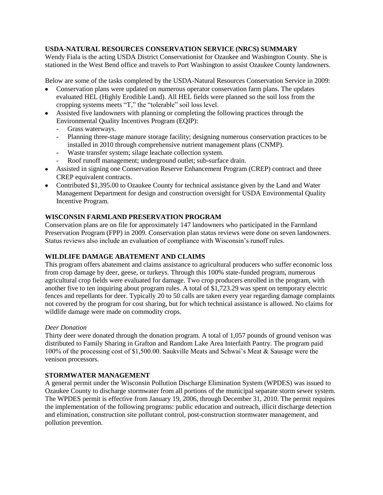## **USDA-NATURAL RESOURCES CONSERVATION SERVICE (NRCS) SUMMARY**

Wendy Fiala is the acting USDA District Conservationist for Ozaukee and Washington County. She is stationed in the West Bend office and travels to Port Washington to assist Ozaukee County landowners.

Below are some of the tasks completed by the USDA-Natural Resources Conservation Service in 2009:

- Conservation plans were updated on numerous operator conservation farm plans. The updates evaluated HEL (Highly Erodible Land). All HEL fields were planned so the soil loss from the cropping systems meets "T," the "tolerable" soil loss level.
- Assisted five landowners with planning or completing the following practices through the Environmental Quality Incentives Program (EQIP):
	- Grass waterways.
	- Planning three-stage manure storage facility; designing numerous conservation practices to be installed in 2010 through comprehensive nutrient management plans (CNMP).
	- Waste transfer system; silage leachate collection system.
	- Roof runoff management; underground outlet; sub-surface drain.
- Assisted in signing one Conservation Reserve Enhancement Program (CREP) contract and three CREP equivalent contracts.
- Contributed \$1,395.00 to Ozaukee County for technical assistance given by the Land and Water Management Department for design and construction oversight for USDA Environmental Quality Incentive Program.

## **WISCONSIN FARMLAND PRESERVATION PROGRAM**

Conservation plans are on file for approximately 147 landowners who participated in the Farmland Preservation Program (FPP) in 2009. Conservation plan status reviews were done on seven landowners. Status reviews also include an evaluation of compliance with Wisconsin's runoff rules.

## **WILDLIFE DAMAGE ABATEMENT AND CLAIMS**

This program offers abatement and claims assistance to agricultural producers who suffer economic loss from crop damage by deer, geese, or turkeys. Through this 100% state-funded program, numerous agricultural crop fields were evaluated for damage. Two crop producers enrolled in the program, with another five to ten inquiring about program rules. A total of \$1,723.29 was spent on temporary electric fences and repellants for deer. Typically 20 to 50 calls are taken every year regarding damage complaints not covered by the program for cost sharing, but for which technical assistance is allowed. No claims for wildlife damage were made on commodity crops.

### *Deer Donation*

Thirty deer were donated through the donation program. A total of 1,057 pounds of ground venison was distributed to Family Sharing in Grafton and Random Lake Area Interfaith Pantry. The program paid 100% of the processing cost of \$1,500.00. Saukville Meats and Schwai's Meat & Sausage were the venison processors.

## **STORMWATER MANAGEMENT**

A general permit under the Wisconsin Pollution Discharge Elimination System (WPDES) was issued to Ozaukee County to discharge stormwater from all portions of the municipal separate storm sewer system. The WPDES permit is effective from January 19, 2006, through December 31, 2010. The permit requires the implementation of the following programs: public education and outreach, illicit discharge detection and elimination, construction site pollutant control, post-construction stormwater management, and pollution prevention.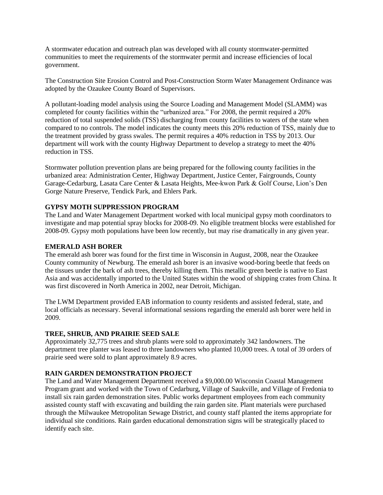A stormwater education and outreach plan was developed with all county stormwater-permitted communities to meet the requirements of the stormwater permit and increase efficiencies of local government.

The Construction Site Erosion Control and Post-Construction Storm Water Management Ordinance was adopted by the Ozaukee County Board of Supervisors.

A pollutant-loading model analysis using the Source Loading and Management Model (SLAMM) was completed for county facilities within the "urbanized area." For 2008, the permit required a 20% reduction of total suspended solids (TSS) discharging from county facilities to waters of the state when compared to no controls. The model indicates the county meets this 20% reduction of TSS, mainly due to the treatment provided by grass swales. The permit requires a 40% reduction in TSS by 2013. Our department will work with the county Highway Department to develop a strategy to meet the 40% reduction in TSS.

Stormwater pollution prevention plans are being prepared for the following county facilities in the urbanized area: Administration Center, Highway Department, Justice Center, Fairgrounds, County Garage-Cedarburg, Lasata Care Center & Lasata Heights, Mee-kwon Park & Golf Course, Lion's Den Gorge Nature Preserve, Tendick Park, and Ehlers Park.

### **GYPSY MOTH SUPPRESSION PROGRAM**

The Land and Water Management Department worked with local municipal gypsy moth coordinators to investigate and map potential spray blocks for 2008-09. No eligible treatment blocks were established for 2008-09. Gypsy moth populations have been low recently, but may rise dramatically in any given year.

### **EMERALD ASH BORER**

The emerald ash borer was found for the first time in Wisconsin in August, 2008, near the Ozaukee County community of Newburg. The emerald ash borer is an invasive wood-boring beetle that feeds on the tissues under the bark of ash trees, thereby killing them. This metallic green beetle is native to East Asia and was accidentally imported to the United States within the wood of shipping crates from China. It was first discovered in North America in 2002, near Detroit, Michigan.

The LWM Department provided EAB information to county residents and assisted federal, state, and local officials as necessary. Several informational sessions regarding the emerald ash borer were held in 2009.

### **TREE, SHRUB, AND PRAIRIE SEED SALE**

Approximately 32,775 trees and shrub plants were sold to approximately 342 landowners. The department tree planter was leased to three landowners who planted 10,000 trees. A total of 39 orders of prairie seed were sold to plant approximately 8.9 acres.

### **RAIN GARDEN DEMONSTRATION PROJECT**

The Land and Water Management Department received a \$9,000.00 Wisconsin Coastal Management Program grant and worked with the Town of Cedarburg, Village of Saukville, and Village of Fredonia to install six rain garden demonstration sites. Public works department employees from each community assisted county staff with excavating and building the rain garden site. Plant materials were purchased through the Milwaukee Metropolitan Sewage District, and county staff planted the items appropriate for individual site conditions. Rain garden educational demonstration signs will be strategically placed to identify each site.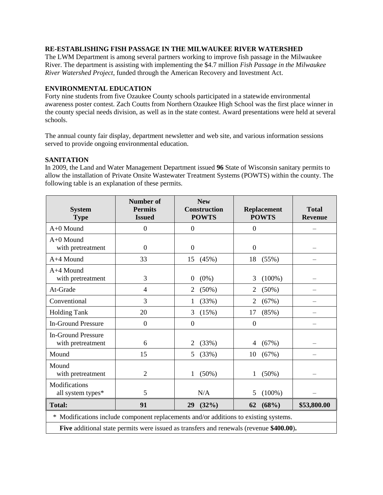## **RE-ESTABLISHING FISH PASSAGE IN THE MILWAUKEE RIVER WATERSHED**

The LWM Department is among several partners working to improve fish passage in the Milwaukee River. The department is assisting with implementing the \$4.7 million *Fish Passage in the Milwaukee River Watershed Project*, funded through the American Recovery and Investment Act.

## **ENVIRONMENTAL EDUCATION**

Forty nine students from five Ozaukee County schools participated in a statewide environmental awareness poster contest. Zach Coutts from Northern Ozaukee High School was the first place winner in the county special needs division, as well as in the state contest. Award presentations were held at several schools.

The annual county fair display, department newsletter and web site, and various information sessions served to provide ongoing environmental education.

### **SANITATION**

In 2009, the Land and Water Management Department issued **96** State of Wisconsin sanitary permits to allow the installation of Private Onsite Wastewater Treatment Systems (POWTS) within the county. The following table is an explanation of these permits.

| <b>System</b><br><b>Type</b>                                                            | <b>Number of</b><br><b>Permits</b><br><b>Issued</b> | <b>New</b><br><b>Construction</b><br><b>POWTS</b> | <b>Replacement</b><br><b>POWTS</b> | <b>Total</b><br><b>Revenue</b> |  |
|-----------------------------------------------------------------------------------------|-----------------------------------------------------|---------------------------------------------------|------------------------------------|--------------------------------|--|
| $A+0$ Mound                                                                             | $\overline{0}$                                      | $\mathbf{0}$                                      | $\overline{0}$                     |                                |  |
| A+0 Mound<br>with pretreatment                                                          | $\overline{0}$                                      | $\mathbf{0}$                                      | $\mathbf{0}$                       |                                |  |
| A+4 Mound                                                                               | 33                                                  | 15<br>(45%)                                       | 18<br>(55%)                        |                                |  |
| $A+4$ Mound<br>with pretreatment                                                        | 3                                                   | $(0\%)$<br>$\boldsymbol{0}$                       | $(100\%)$<br>3                     |                                |  |
| At-Grade                                                                                | $\overline{4}$                                      | (50%)<br>2                                        | (50%)<br>2                         |                                |  |
| Conventional                                                                            | 3                                                   | (33%)<br>1                                        | $\overline{c}$<br>(67%)            |                                |  |
| <b>Holding Tank</b>                                                                     | 20                                                  | 3<br>(15%)                                        | (85%)<br>17                        |                                |  |
| <b>In-Ground Pressure</b>                                                               | $\overline{0}$                                      | $\mathbf{0}$                                      | $\overline{0}$                     |                                |  |
| <b>In-Ground Pressure</b><br>with pretreatment                                          | 6                                                   | 2<br>(33%)                                        | (67%)<br>4                         |                                |  |
| Mound                                                                                   | 15                                                  | (33%)<br>5                                        | (67%)<br>10                        |                                |  |
| Mound<br>with pretreatment                                                              | $\overline{2}$                                      | $(50\%)$<br>1                                     | $(50\%)$<br>1                      |                                |  |
| Modifications<br>all system types*                                                      | 5                                                   | N/A                                               | $(100\%)$<br>5                     |                                |  |
| <b>Total:</b>                                                                           | 91                                                  | (32%)<br>29                                       | (68%)<br>62                        | \$53,800.00                    |  |
| * Modifications include component replacements and/or additions to existing systems.    |                                                     |                                                   |                                    |                                |  |
| Five additional state permits were issued as transfers and renewals (revenue \$400.00). |                                                     |                                                   |                                    |                                |  |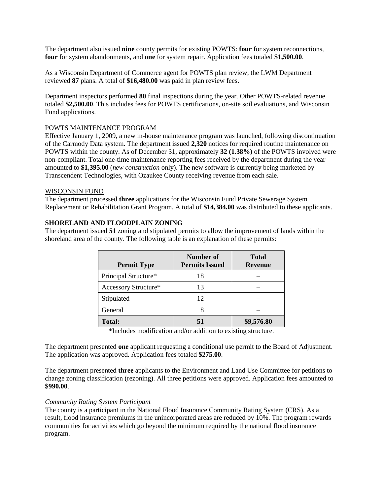The department also issued **nine** county permits for existing POWTS: **four** for system reconnections, **four** for system abandonments, and **one** for system repair. Application fees totaled **\$1,500.00**.

As a Wisconsin Department of Commerce agent for POWTS plan review, the LWM Department reviewed **87** plans. A total of **\$16,480.00** was paid in plan review fees.

Department inspectors performed **80** final inspections during the year. Other POWTS-related revenue totaled **\$2,500.00**. This includes fees for POWTS certifications, on-site soil evaluations, and Wisconsin Fund applications.

### POWTS MAINTENANCE PROGRAM

Effective January 1, 2009, a new in-house maintenance program was launched, following discontinuation of the Carmody Data system. The department issued **2,320** notices for required routine maintenance on POWTS within the county. As of December 31, approximately **32 (1.38%)** of the POWTS involved were non-compliant. Total one-time maintenance reporting fees received by the department during the year amounted to **\$1,395.00** (*new construction* only). The new software is currently being marketed by Transcendent Technologies, with Ozaukee County receiving revenue from each sale.

#### WISCONSIN FUND

The department processed **three** applications for the Wisconsin Fund Private Sewerage System Replacement or Rehabilitation Grant Program. A total of **\$14,384.00** was distributed to these applicants.

### **SHORELAND AND FLOODPLAIN ZONING**

The department issued **51** zoning and stipulated permits to allow the improvement of lands within the shoreland area of the county. The following table is an explanation of these permits:

| <b>Permit Type</b>   | Number of<br><b>Permits Issued</b> | <b>Total</b><br><b>Revenue</b> |
|----------------------|------------------------------------|--------------------------------|
| Principal Structure* | 18                                 |                                |
| Accessory Structure* | 13                                 |                                |
| Stipulated           | 12                                 |                                |
| General              |                                    |                                |
| <b>Total:</b>        | 51                                 | \$9,576.80                     |

\*Includes modification and/or addition to existing structure.

The department presented **one** applicant requesting a conditional use permit to the Board of Adjustment. The application was approved. Application fees totaled **\$275.00**.

The department presented **three** applicants to the Environment and Land Use Committee for petitions to change zoning classification (rezoning). All three petitions were approved. Application fees amounted to **\$990.00**.

#### *Community Rating System Participant*

The county is a participant in the National Flood Insurance Community Rating System (CRS). As a result, flood insurance premiums in the unincorporated areas are reduced by 10%. The program rewards communities for activities which go beyond the minimum required by the national flood insurance program.